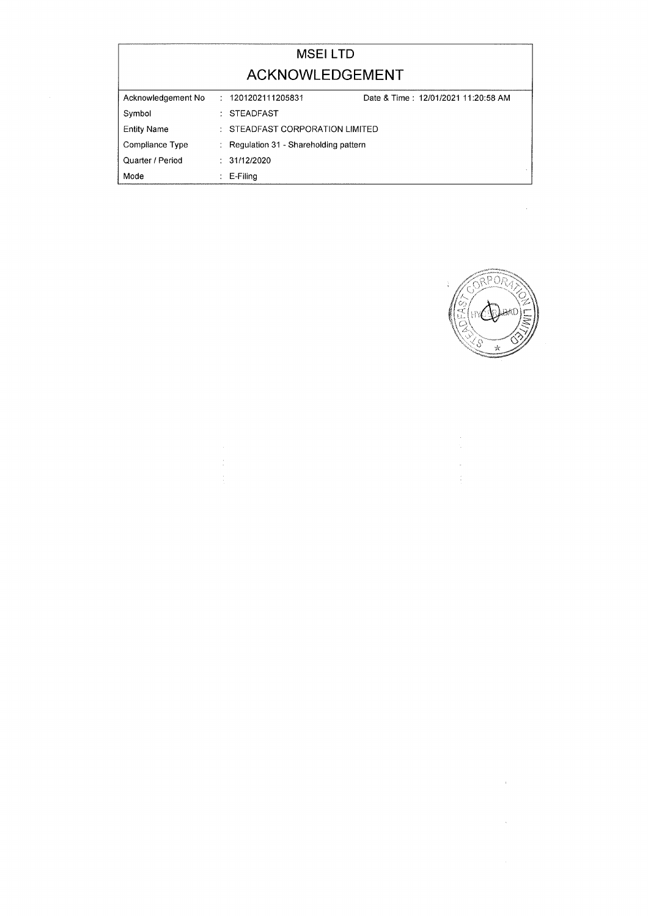|                    | <b>MSEILTD</b>                         |                                     |
|--------------------|----------------------------------------|-------------------------------------|
|                    | ACKNOWLEDGEMENT                        |                                     |
| Acknowledgement No | 1201202111205831                       | Date & Time: 12/01/2021 11:20:58 AM |
| Symbol             | <b>STEADFAST</b>                       |                                     |
| <b>Entity Name</b> | : STEADFAST CORPORATION LIMITED        |                                     |
| Compliance Type    | : Regulation 31 - Shareholding pattern |                                     |
| Quarter / Period   | : 31/12/2020                           |                                     |
| Mode               | $E-Filing$                             |                                     |



 $\label{eq:2.1} \mathcal{L}(\mathcal{L}^{\text{max}}_{\text{max}}(\mathcal{L}^{\text{max}}_{\text{max}}(\mathcal{L}^{\text{max}}_{\text{max}}))$ 

 $\sim$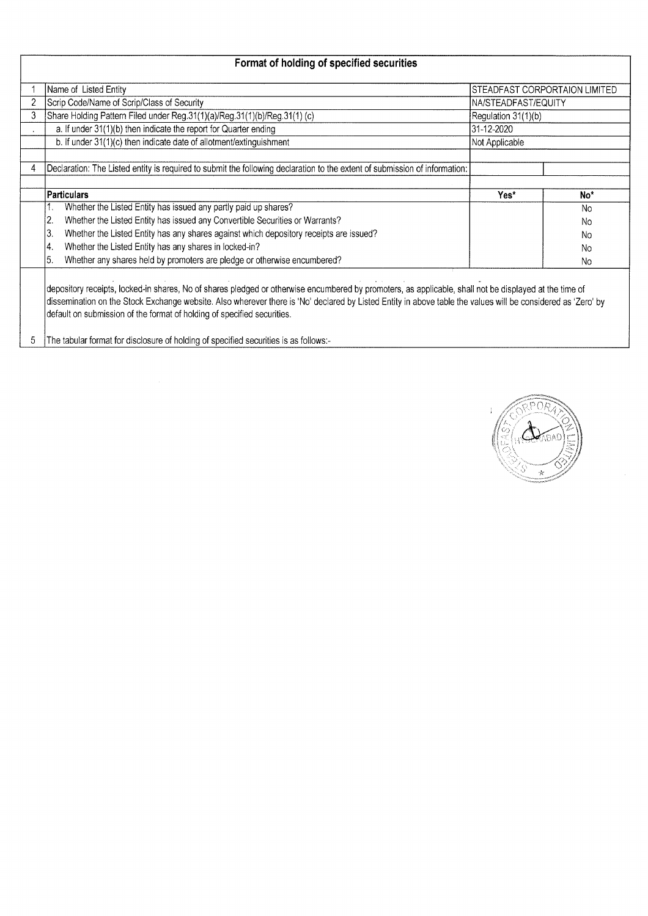|   | Format of holding of specified securities                                                                                  |                     |                               |  |  |  |  |
|---|----------------------------------------------------------------------------------------------------------------------------|---------------------|-------------------------------|--|--|--|--|
|   | Name of Listed Entity                                                                                                      |                     | STEADFAST CORPORTAION LIMITED |  |  |  |  |
|   | Scrip Code/Name of Scrip/Class of Security                                                                                 | NA/STEADFAST/EQUITY |                               |  |  |  |  |
| 3 | Share Holding Pattern Filed under Reg.31(1)(a)/Reg.31(1)(b)/Reg.31(1) (c)                                                  | Regulation 31(1)(b) |                               |  |  |  |  |
|   | a. If under 31(1)(b) then indicate the report for Quarter ending                                                           | 31-12-2020          |                               |  |  |  |  |
|   | b. If under 31(1)(c) then indicate date of allotment/extinguishment                                                        | Not Applicable      |                               |  |  |  |  |
|   |                                                                                                                            |                     |                               |  |  |  |  |
|   | Declaration: The Listed entity is required to submit the following declaration to the extent of submission of information: |                     |                               |  |  |  |  |
|   |                                                                                                                            |                     |                               |  |  |  |  |
|   | <b>Particulars</b>                                                                                                         | Yes*                | No <sup>*</sup>               |  |  |  |  |
|   | Whether the Listed Entity has issued any partly paid up shares?                                                            |                     | No                            |  |  |  |  |
|   | Whether the Listed Entity has issued any Convertible Securities or Warrants?<br>2.                                         |                     | <b>No</b>                     |  |  |  |  |
|   | Whether the Listed Entity has any shares against which depository receipts are issued?<br>3.                               |                     | N <sub>0</sub>                |  |  |  |  |
|   | Whether the Listed Entity has any shares in locked-in?<br>4.                                                               |                     | N <sub>o</sub>                |  |  |  |  |
|   | Whether any shares held by promoters are pledge or otherwise encumbered?<br>5.                                             |                     | N <sub>o</sub>                |  |  |  |  |
|   |                                                                                                                            |                     |                               |  |  |  |  |

depository receipts, locked-in shares, No of shares pledged or otherwise encumbered by promoters, as applicable, shall not be displayed at the time of dissemination on the Stock Exchange website. Also wherever there is 'No' declared by Listed Entity in above table the values will be considered as 'Zero' by default on submission of the format of holding of specified securities.

5 The tabular format for disclosure of holding of specified securities is as follows:-

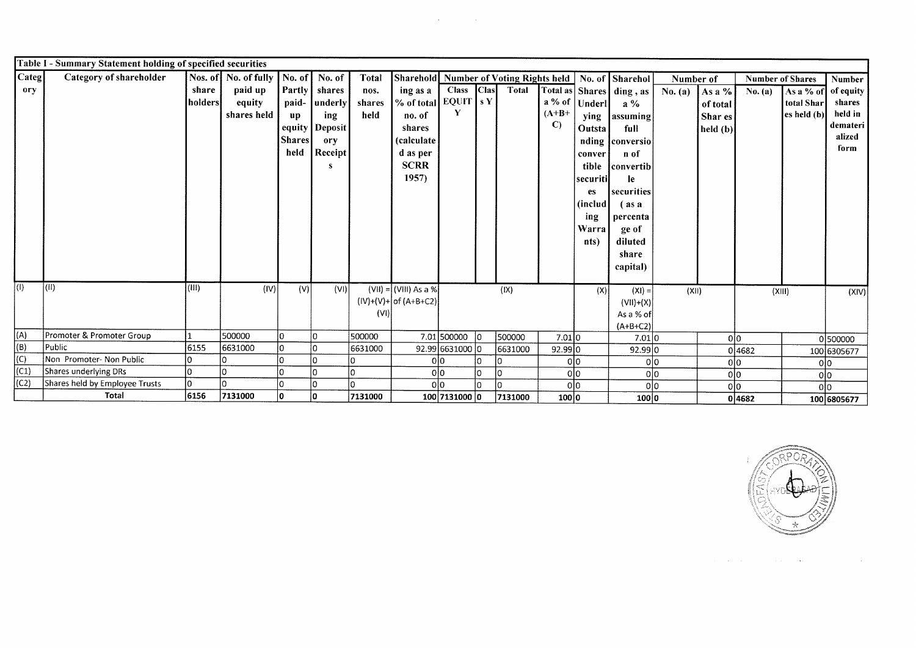| Categ <br>Nos. of No. of fully   No. of  <br>Category of shareholder<br>No. of<br><b>Total</b><br>Sharehold Number of Voting Rights held<br>No. of Sharehol<br>Number of<br><b>Number of Shares</b><br>paid up<br>Partly<br><b>Clas</b><br>ory<br>share<br>shares<br><b>Class</b><br>Total | Number<br>As a % of<br>of equity |
|--------------------------------------------------------------------------------------------------------------------------------------------------------------------------------------------------------------------------------------------------------------------------------------------|----------------------------------|
|                                                                                                                                                                                                                                                                                            |                                  |
| ing as a<br>Total as   Shares   ding, as  <br>No. $(a)$<br>As a %<br>nos.<br>No. (a)                                                                                                                                                                                                       |                                  |
| % of total EQUIT $ sY $<br>$a\%$ of<br> holders <br>paid-<br>equity<br>  underly<br>shares<br>Underl<br>$a\%$<br>of total                                                                                                                                                                  | total Shar<br>shares             |
| $(A+B+$<br>shares held<br>held<br>no. of<br>ing<br>$\mathbf{u} \mathbf{p}$<br>Shar es<br>assuming<br><b>ying</b>                                                                                                                                                                           | held in<br>es held(b)            |
| $\mathbf{C}$<br>equity<br><b>Deposit</b><br>shares<br><b>Outsta</b><br>full<br>$\left  \text{held (b)} \right $                                                                                                                                                                            | demateri                         |
| <b>Shares</b><br><i>(calculate)</i><br>ory<br>nding conversio                                                                                                                                                                                                                              | alized                           |
| held<br>Receipt<br>d as per<br>n of<br>conver                                                                                                                                                                                                                                              | form                             |
| <b>SCRR</b><br>tible<br> convertib                                                                                                                                                                                                                                                         |                                  |
| 1957)<br><b>securiti</b><br><b>le</b>                                                                                                                                                                                                                                                      |                                  |
| securities<br>es                                                                                                                                                                                                                                                                           |                                  |
| (includ)<br>$\int$ as a                                                                                                                                                                                                                                                                    |                                  |
| ing<br>percenta                                                                                                                                                                                                                                                                            |                                  |
| Warra<br>ge of                                                                                                                                                                                                                                                                             |                                  |
| diluted<br>nts)                                                                                                                                                                                                                                                                            |                                  |
| share                                                                                                                                                                                                                                                                                      |                                  |
| capital)                                                                                                                                                                                                                                                                                   |                                  |
|                                                                                                                                                                                                                                                                                            |                                  |
| $\overline{(\mathbb{I})}$<br>(0)<br>(III)<br>(IV)<br>(V)<br>(VI)<br>$(VII) = (VIII) As a %$<br>(IX)<br>(X)<br>$(XI) =$<br>(XII)<br>(XIII)                                                                                                                                                  | (XIV)                            |
| $(IV)+(V)+$ of $(A+B+C2)$<br>$(VII)+(X)$                                                                                                                                                                                                                                                   |                                  |
| (VI)<br>As a % of                                                                                                                                                                                                                                                                          |                                  |
| $(A+B+C2)$<br>(A)<br>Promoter & Promoter Group<br>500000                                                                                                                                                                                                                                   |                                  |
| lo.<br>500000<br>$ 0\rangle$<br>7.01500000 lo<br>500000<br>7.01 0<br>7.01 0<br>0 0 <br>(B)<br>Public<br>6155<br>6631000<br>lo.<br>l0                                                                                                                                                       | 0500000                          |
| 6631000<br>92.99 6631000 0<br>6631000<br>92.99 0<br>92.99 0<br>0 4682<br>(C)<br>Non Promoter- Non Public<br>0 0                                                                                                                                                                            | 100 6305677                      |
| l0<br>0 <sup>0</sup><br>0 0<br>0 0<br>(C1)<br>Shares underlying DRs<br>İО<br>0 0<br>0                                                                                                                                                                                                      | 0l0                              |
| 0 0<br>0 0<br>0 0<br>(C2)<br>Shares held by Employee Trusts<br>l٥<br>olo<br>I٥<br>I٥<br>I۵<br>0 0                                                                                                                                                                                          | 0 0                              |
| 0 0<br>olo<br>Total<br>6156<br>7131000<br>l٥<br>7131000<br>10.<br>100 7131000 0<br>100 0<br>7131000<br>100 0<br>04682                                                                                                                                                                      | olo<br>100 6805677               |

 $\mathcal{L}^{\mathcal{L}}(\mathcal{L}^{\mathcal{L}})$  . The contribution of  $\mathcal{L}^{\mathcal{L}}(\mathcal{L}^{\mathcal{L}})$ 



 $\mathcal{L}_{\text{max}}$  and  $\mathcal{L}_{\text{max}}$  are the set of the set of the set of  $\mathcal{L}_{\text{max}}$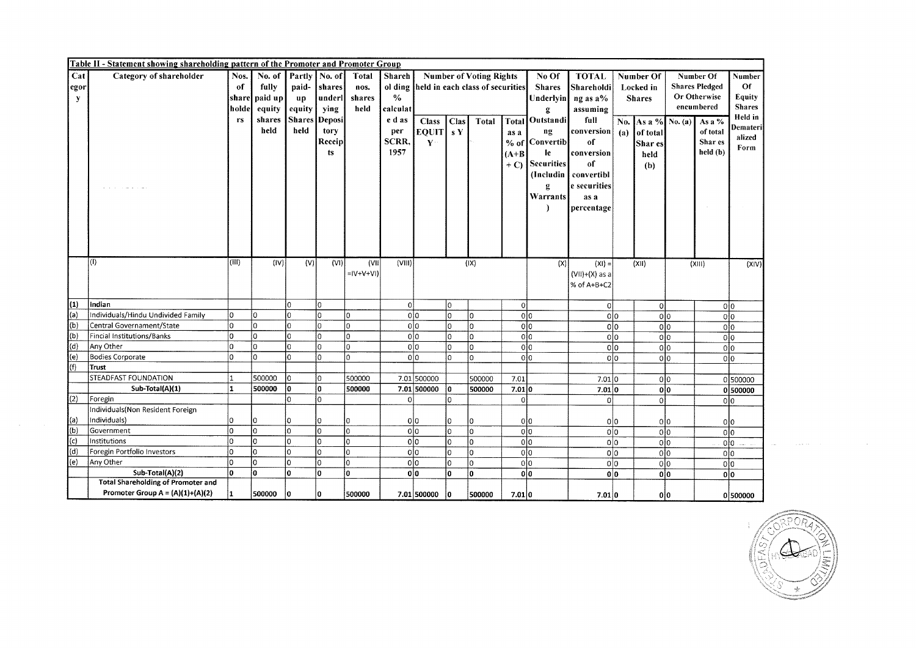|             | Table II - Statement showing shareholding pattern of the Promoter and Promoter Group |       |                |               |          |              |                |                |              |                                          |                      |                   |                        |                |                       |                       |                        |                    |
|-------------|--------------------------------------------------------------------------------------|-------|----------------|---------------|----------|--------------|----------------|----------------|--------------|------------------------------------------|----------------------|-------------------|------------------------|----------------|-----------------------|-----------------------|------------------------|--------------------|
| Cat         | Category of shareholder                                                              | Nos.  | No. of         | Partly        | No. of   | <b>Total</b> | Shareh         |                |              | <b>Number of Voting Rights</b>           |                      | No Of             | <b>TOTAL</b>           | Number Of      |                       | Number Of             |                        | Number             |
| egor        |                                                                                      | of    | fully          | paid-         | shares   | nos.         |                |                |              | ol ding held in each class of securities |                      | <b>Shares</b>     | Shareholdi             | Locked in      |                       | <b>Shares Pledged</b> |                        | Of                 |
| ${\bf y}$   |                                                                                      |       | share paid up  | up            | underl   | shares       | $\frac{0}{0}$  |                |              |                                          |                      |                   | Underlyin $\log$ as a% |                | <b>Shares</b>         |                       | Or Otherwise           | Equity             |
|             |                                                                                      | holde | equity         | equity        | ying     | held         | calculat       |                |              |                                          |                      | ā.                | assuming               |                |                       |                       | encumbered             | <b>Shares</b>      |
|             |                                                                                      | rs    | shares         | <b>Shares</b> | Deposi   |              | e d as         | <b>Class</b>   | Clas         | Total                                    |                      | Total Outstandi   | full                   |                | No. As a % No. (a)    |                       | As a %                 | Held in            |
|             |                                                                                      |       | held           | held          | tory     |              | per            | EQUIT SY       |              |                                          | as a                 | ng                | conversion             | (a)            | of total              |                       | of total               | Demateri           |
|             |                                                                                      |       |                |               | Receip   |              | SCRR,          | $\mathbf{Y}$   |              |                                          |                      | % of Convertib    | of                     |                | Shar es               |                       | Shar es                | alized             |
|             |                                                                                      |       |                |               | ts       |              | 1957           |                |              |                                          | $(A+B)$              | le                | conversion             |                |                       |                       | held (b)               | Form               |
|             |                                                                                      |       |                |               |          |              |                |                |              |                                          | $+$ C)               | <b>Securities</b> | of                     |                | held                  |                       |                        |                    |
|             |                                                                                      |       |                |               |          |              |                |                |              |                                          |                      |                   | (Includin   convertibl |                | (b)                   |                       |                        |                    |
|             |                                                                                      |       |                |               |          |              |                |                |              |                                          |                      |                   | e securities           |                |                       |                       |                        |                    |
|             |                                                                                      |       |                |               |          |              |                |                |              |                                          |                      | g<br>Warrants     |                        |                |                       |                       |                        |                    |
|             |                                                                                      |       |                |               |          |              |                |                |              |                                          |                      | r                 | as a                   |                |                       |                       |                        |                    |
|             |                                                                                      |       |                |               |          |              |                |                |              |                                          |                      |                   | percentage             |                |                       |                       |                        |                    |
|             |                                                                                      |       |                |               |          |              |                |                |              |                                          |                      |                   |                        |                |                       |                       |                        |                    |
|             |                                                                                      |       |                |               |          |              |                |                |              |                                          |                      |                   |                        |                |                       |                       |                        |                    |
|             |                                                                                      |       |                |               |          |              |                |                |              |                                          |                      |                   |                        |                |                       |                       |                        |                    |
|             |                                                                                      |       |                |               |          |              |                |                |              |                                          |                      |                   |                        |                |                       |                       |                        |                    |
|             | $\vert$ (I)                                                                          | (III) | (IV)           | (V)           | (VI)     | (VII)        | (VIII)         |                |              | $( X\rangle)$                            |                      | (X)               | $(XI) =$               |                | (X 1)                 |                       | (XIII)                 | (X V)              |
|             |                                                                                      |       |                |               |          | $= V+V+V $   |                |                |              |                                          |                      |                   | $(VII)+(X)$ as a       |                |                       |                       |                        |                    |
|             |                                                                                      |       |                |               |          |              |                |                |              |                                          |                      |                   | % of A+B+C2            |                |                       |                       |                        |                    |
| (1)         | Indian                                                                               |       |                | lо            | lo.      |              | $\overline{0}$ |                | l0.          |                                          |                      |                   |                        |                |                       |                       |                        |                    |
| $\vert$ (a) | Individuals/Hindu Undivided Family                                                   | l٥    | lo.            | lo            | lo.      | lo.          |                | olo            | $\Omega$     | ١o                                       | 0 <br>0 <sup>0</sup> |                   | 0l                     | olo            | $\overline{0}$<br>olo |                       | 0 0<br>0 <sup>10</sup> |                    |
| (b)         | Central Governament/State                                                            | O     | lo.            | lo            | lo.      | $\Omega$     |                | 0 0            | $\Omega$     | lo                                       | 0 <sub>0</sub>       |                   | 0 0                    |                | 0 <sub>0</sub>        |                       | 0 0                    |                    |
| (b)         | Fincial Institutions/Banks                                                           | o     | o              | Iо            | lo.      | 0            |                | 0 0            | $\mathbf{0}$ | I٥                                       | olo                  |                   |                        | olo            | 0 <sub>0</sub>        |                       | 0 0                    |                    |
| (d)         | Any Other                                                                            | 0     | O              | lo            | lo.      | 0            |                | olo            | $\Omega$     | lo                                       | olo                  |                   |                        | 0 <sub>0</sub> | 0 <sub>0</sub>        |                       | 0 0                    |                    |
| (e)         | <b>Bodies Corporate</b>                                                              | O     | lo.            | İο            | lo.      | 0            |                | olo            | $\Omega$     | ١o                                       | olo                  |                   |                        | 0 <sup>0</sup> | 0 <sup>10</sup>       |                       | olo                    |                    |
| (f)         | Trust                                                                                |       |                |               |          |              |                |                |              |                                          |                      |                   |                        |                |                       |                       |                        |                    |
|             | <b>STEADFAST FOUNDATION</b>                                                          |       | 500000         | Iо            | lo.      | 500000       |                | 7.01 500000    |              | 500000                                   | 7.01                 |                   | 7.01 0                 |                | olo                   |                       |                        | 0500000            |
|             | Sub-Total(A)(1)                                                                      | 1     | 500000         | ١o            | ١o       | 500000       |                | 7.01 500000    | 0            | 500000                                   | 7.01 0               |                   | 7.01 0                 |                | 0 0                   |                       |                        | 0500000            |
| (2)         | Foregin                                                                              |       |                | lo            | $\Omega$ |              | $\Omega$       |                |              |                                          | $\mathbf 0$          |                   | $\Omega$               |                | $\Omega$              |                       | 0 0                    |                    |
|             | Individuals (Non Resident Foreign                                                    |       |                |               |          |              |                |                |              |                                          |                      |                   |                        |                |                       |                       |                        |                    |
| (a)         | Individuals)                                                                         | 0     | l0             | ١O            | $\Omega$ | I٥           |                | 0 0            | $\Omega$     | ۱o                                       | 0 0                  |                   |                        | 0 0            | 0 0                   |                       | 0 0                    |                    |
| $\vert$ (b) | Government                                                                           | 0     | O              | lo            | lo.      | lo.          |                | 0 <sub>0</sub> | lo.          | İ0                                       | olo                  |                   |                        | 0 0            | olo                   |                       | olo                    |                    |
| (c)         | Institutions                                                                         | 0     | lo.            | lо            | I٥       | I٥           |                | 0 <sub>0</sub> | I٥           | O                                        | 0 0                  |                   |                        | 0 0            | 0 0                   |                       | 0 <sup>10</sup>        | ر<br>موالي الموالي |
| (d)         | Foregin Portfolio Investors                                                          | Ō     | $\overline{0}$ | lo            | 0        | lo.          |                | olo            | lo.          | l0                                       | olo                  |                   |                        | olo            | 0 0                   |                       | olo                    |                    |
| (e)         | Any Other                                                                            | 0     | lo.            | lo            | lo.      | lo.          |                | 0 0            | lo.          | o                                        | 0 0                  |                   | 0 <sub>0</sub>         |                | 0 0                   |                       | olo                    |                    |
|             | Sub-Total(A)(2)                                                                      | ١o    | o              | I٥            | lo.      | lo.          |                | olo            | l0.          | O                                        | 0 0                  |                   | olo                    |                | olo                   |                       | 0 0                    |                    |
|             | <b>Total Shareholding of Promoter and</b>                                            |       |                |               |          |              |                |                |              |                                          |                      |                   |                        |                |                       |                       |                        |                    |
|             | Promoter Group $A = (A)(1)+(A)(2)$                                                   | 1     | 500000         | ١o            | 10       | 500000       |                | 7.01 500000    | ١o           | 500000                                   | 7.01 0               |                   | 7.01 0                 |                | 0   0                 |                       |                        | 0 500000           |



 $\sim$  100 km s  $^{-1}$  ,  $\sim$  100 km s  $^{-1}$ 

 $\mathcal{L}^{\text{max}}_{\text{max}}$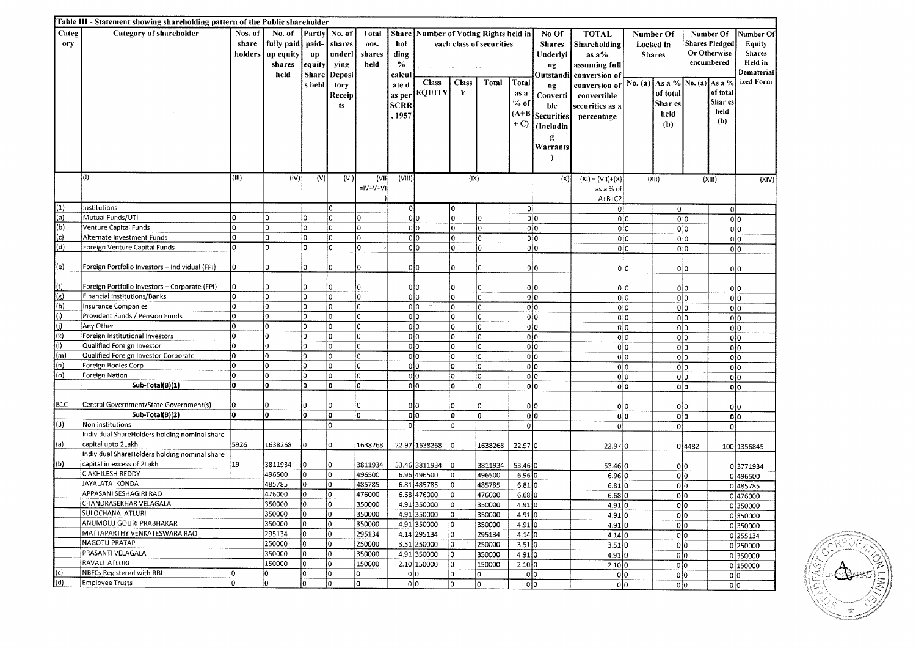|                  | Table III - Statement showing shareholding pattern of the Public shareholder |          |            |               |         |               |                |                                 |                 |                          |                |                   |                       |                               |                       |                       |               |
|------------------|------------------------------------------------------------------------------|----------|------------|---------------|---------|---------------|----------------|---------------------------------|-----------------|--------------------------|----------------|-------------------|-----------------------|-------------------------------|-----------------------|-----------------------|---------------|
| Categ            | Category of shareholder                                                      | Nos. of  | No. of     | Partly        | No. of  | <b>Total</b>  | Share          | Number of Voting Rights held in |                 |                          |                | No Of             | <b>TOTAL</b>          | Number Of                     |                       | Number Of             | Number Of     |
| ory              |                                                                              | share    | fully paid | paid-         | shares  | nos.          | hol            |                                 |                 | each class of securities |                | <b>Shares</b>     | Shareholding          | Locked in                     |                       | <b>Shares Pledged</b> | <b>Equity</b> |
|                  |                                                                              | holders  | up equity  | up            | underl  | shares        | ding           |                                 |                 |                          |                | Underlyi          | as $a\%$              | <b>Shares</b>                 |                       | Or Otherwise          | <b>Shares</b> |
|                  |                                                                              |          | shares     | equity        | ying    | held          | $\%$           |                                 |                 |                          |                | ng                | assuming full         |                               |                       | encumbered            | Held in       |
|                  |                                                                              |          | held       | <b>Share</b>  | Deposi  |               | calcu          |                                 |                 |                          |                | Outstandi         | conversion of         |                               |                       |                       | Dematerial    |
|                  |                                                                              |          |            | s held        | tory    |               | ate d          | <b>Class</b>                    | <b>Class</b>    | <b>Total</b>             | Total          | ng                | conversion of         | No. (a) As a % No. (a) As a % |                       |                       | ized Form     |
|                  |                                                                              |          |            |               | Receip  |               | as per         | <b>EQUITY</b>                   | Y               |                          | as a           | Converti          | convertible           |                               | of total              | of total              |               |
|                  |                                                                              |          |            |               | ts.     |               | <b>SCRR</b>    |                                 |                 |                          | $%$ of         | ble               | securities as a       |                               | Shar es               | Shar es               |               |
|                  |                                                                              |          |            |               |         |               | .1957          |                                 |                 |                          | $(A+B)$        | <b>Securities</b> | percentage            |                               | held                  | held                  |               |
|                  |                                                                              |          |            |               |         |               |                |                                 |                 |                          | $+ C$          | (Includin         |                       |                               | (b)                   | (b)                   |               |
|                  |                                                                              |          |            |               |         |               |                |                                 |                 |                          |                | g                 |                       |                               |                       |                       |               |
|                  |                                                                              |          |            |               |         |               |                |                                 |                 |                          |                | Warrants          |                       |                               |                       |                       |               |
|                  |                                                                              |          |            |               |         |               |                |                                 |                 |                          |                |                   |                       |                               |                       |                       |               |
|                  |                                                                              |          |            |               |         |               |                |                                 |                 |                          |                |                   |                       |                               |                       |                       |               |
|                  | $\vert$ (I)                                                                  | (III)    | (IV)       | (V)           | (VI)    | (VII)         | (VIII)         |                                 | (IX)            |                          |                | (X)               | $(X1) = (V11)+(X)$    | (X i)                         |                       | (XIII)                | (XIV)         |
|                  |                                                                              |          |            |               |         | $=$ $ V+V+V $ |                |                                 |                 |                          |                |                   | as a % of             |                               |                       |                       |               |
|                  |                                                                              |          |            |               |         |               |                |                                 |                 |                          |                |                   | $A+B+C2$              |                               |                       |                       |               |
| (1)              | Institutions                                                                 |          |            |               | I٥      |               | 0              |                                 | lo.             |                          | 0              |                   | οl                    |                               | 0                     | οl                    |               |
| (a)              | Mutual Funds/UTI                                                             | l0       | ١o         | ۱o            | I٥      | $\Omega$      |                | olo                             | $\Omega$        | $\Omega$                 |                | 0 0               | 0 0                   |                               | olo                   | 0 0                   |               |
| (b)              | Venture Capital Funds                                                        | lo       | ١o         | O             | I٥      | $\Omega$      |                | olo                             | $\Omega$        | 0                        |                | 0 0               | 0 0                   |                               | olo                   | olo                   |               |
| (c)              | Alternate Investment Funds                                                   | lo.      | lo         | O             | İ٥      | $\mathbf 0$   |                | olo                             | l0.             | 0                        |                | 0 0               | 0 0                   |                               | 0 0                   | olo                   |               |
| (d)              | Foreign Venture Capital Funds                                                | lo.      | I٥         | l0.           | lo      | lo.           |                | olo                             | I٥              | 0                        |                | olo               | olo                   |                               | 0 0                   | 0 0                   |               |
|                  |                                                                              |          |            |               |         |               |                |                                 |                 |                          |                |                   |                       |                               |                       |                       |               |
| (e)              | Foreign Portfolio Investors - Individual (FPI)                               | l0       | l0         | 0             | ۱o      | I٥            |                | olo                             | I٥              | $\Omega$                 |                | 0 0               | 0 0                   |                               | 0 0                   | 0 0                   |               |
|                  |                                                                              |          |            |               |         |               |                |                                 |                 |                          |                |                   |                       |                               |                       |                       |               |
| (f)              | Foreign Portfolio Investors - Corporate (FPI)                                | 10       | ۱o<br>ln   | $\Omega$      | 0       | I∩            |                | 0 0                             | lo.             | O                        |                | olo               | 0 0                   |                               | olo                   | 0 0                   |               |
| (g)              | Financial Institutions/Banks                                                 | ١o       |            | 0             | O       | lo            |                | olo                             | l0.             | 0                        |                | 0 0               | 0 0                   |                               | olo                   | olo                   |               |
| (h)              | Insurance Companies                                                          | I٥       | ۱o         | $\mathbf{0}$  | O       | o             |                | olo                             | lo.             | 0                        |                | $\overline{0 0}$  | 0 0                   |                               | olo                   | 0 0                   |               |
| (i)              | Provident Funds / Pension Funds                                              | lο<br>lo | l0<br>۱o   | 0<br>0        | I٥      | O<br>o        |                | olo                             | l0.             | 0                        |                | 0 0               | 0 0                   |                               | olo                   | 0 0                   |               |
| (i)<br>(k)       | Any Other                                                                    | lo       |            |               | o       |               |                | 0 0                             | $\Omega$        | 0                        |                | 0 0               | 0 0                   |                               | olo                   | 0 0                   |               |
| $\vert$ (I)      | Foreign Institutional Investors<br>Qualified Foreign Investor                | lo       | ۱o<br>۱o   | 0<br>$\Omega$ | O<br>l0 | l0<br>o       |                | olo                             | lo.<br><b>n</b> | lo.                      |                | 0 0               | olo                   |                               | 0 0                   | 0 0                   |               |
| (m)              | Qualified Foreign Investor-Corporate                                         | lо       | ۱o         | 0             | O       | ۱o            |                | 0 0<br>0 <sup>10</sup>          | 0               | 0<br>0                   |                | 0 0<br>olo        | 0 <sup>0</sup><br>olo |                               | 0 <sub>0</sub><br>0 0 | olo                   |               |
| (n)              | Foreign Bodies Corp                                                          | I٥       | l0         | 0             | O       | ١o            |                | olo                             | 0               | l0.                      |                | 0 0               | olo                   |                               | olo                   | 0 0                   |               |
| (o)              | Foreign Nation                                                               | lо       | 0          | 0             | ۱o      | U             |                | 0 <sub>0</sub>                  | $\Omega$        | 0                        |                | 0 0               | 0 0                   |                               | 0 0                   | olo                   |               |
|                  | Sub-Total(B)(1)                                                              | ١o       | O          | 0             | ۱o      | o             |                | 0 <sub>0</sub>                  | 0               | 0                        |                | olo               | olo                   |                               | olo                   | olo<br>olo            |               |
|                  |                                                                              |          |            |               |         |               |                |                                 |                 |                          |                |                   |                       |                               |                       |                       |               |
| B <sub>1</sub> C | Central Government/State Government(s)                                       | 10       | 0          | $\Omega$      | ۱O      | 0             |                | 0 <sup>10</sup>                 | 0               | $\Omega$                 |                | 0 0               | olo                   |                               | 0 0                   | 010                   |               |
|                  | Sub-Total(B)(2)                                                              | lo.      | ۱o         | 0             | ۱o      | ۱o            |                | olo                             | o               | 0                        |                | 0 0               | 0 0                   |                               | 0 0                   | olo                   |               |
| (3)              | Non Institutions                                                             |          |            |               | lo      |               | 0 <sup>1</sup> |                                 | O               |                          | $\overline{0}$ |                   | οl                    |                               | $\Omega$              | $\overline{0}$        |               |
|                  | Individual ShareHolders holding nominal share                                |          |            |               |         |               |                |                                 |                 |                          |                |                   |                       |                               |                       |                       |               |
| (a)              | capital upto 2Lakh                                                           | 5926     | 1638268    | 0             | O       | 1638268       |                | 22.97 1638268                   | ۱o              | 1638268                  | 22.97 0        |                   | 22.97 0               |                               | 04482                 |                       | 100 1356845   |
|                  | Individual ShareHolders holding nominal share                                |          |            |               |         |               |                |                                 |                 |                          |                |                   |                       |                               |                       |                       |               |
| (b)              | capital in excess of 2Lakh                                                   | 19       | 3811934    | 0             | i0      | 3811934       |                | 53.46 3811934                   | 0               | 3811934                  | 53.46 0        |                   | 53.46 0               |                               | olo                   |                       | 03771934      |
|                  | C AKHILESH REDDY                                                             |          | 496500     | 0             | lo.     | 496500        |                | 6.96 496500                     | ۱o              | 496500                   | 6.96 0         |                   | 6.96 0                |                               | 0 0                   |                       | 0 496500      |
|                  | JAYALATA KONDA                                                               |          | 485785     | 0             | 0       | 485785        |                | 6.81 485785                     | 0               | 485785                   | 6.81 0         |                   | 6.81 0                |                               | olo                   |                       | 0485785       |
|                  | APPASANI SESHAGIRI RAO                                                       |          | 476000     | 0             | lo.     | 476000        |                | 6.68 476000                     | ۱O.             | 476000                   | 6.68           |                   | 6.68 0                |                               | olo                   |                       | 0 476000      |
|                  | CHANDRASEKHAR VELAGALA                                                       |          | 350000     | 0             | I٥      | 350000        |                | 4.91 350000                     | O.              | 350000                   | 4.91 0         |                   | 4.91 0                |                               | olo                   |                       | 0350000       |
|                  | SULOCHANA ATLURI                                                             |          | 350000     | lo.           | I٥      | 350000        |                | 4.91 350000                     | I٥              | 350000                   | 4.91           |                   | 4.91 0                |                               | 0 0                   |                       | 0350000       |
|                  | ANUMOLU GOURI PRABHAKAR                                                      |          | 350000     | lo.           | I٥      | 350000        |                | 4.91 350000                     | lo.             | 350000                   | 4.91 0         |                   | 4.91 0                |                               | 0 0                   |                       | 0350000       |
|                  | MATTAPARTHY VENKATESWARA RAO                                                 |          | 295134     | 0             | I٥      | 295134        |                | 4.14 295134                     | 10              | 295134                   | 4.14 0         |                   | 4.14 0                |                               | olo                   |                       | 0 255134      |
|                  | <b>NAGOTU PRATAP</b>                                                         |          | 250000     | ۱o            | I٥      | 250000        |                | 3.51 250000                     | lo              | 250000                   | 3.51 0         |                   | 3.51 0                |                               | 0 0                   |                       | 0 250000      |
|                  | PRASANTI VELAGALA                                                            |          | 350000     | lo.           | l0      | 350000        |                | 4.91 350000                     | I٥              | 350000                   | 4.91 0         |                   | 4.91 0                |                               | 0 0                   |                       | 0350000       |
|                  | RAVALI ATLURI                                                                |          | 150000     | lo.           | I٥      | 150000        |                | 2.10 150000                     | lo.             | 150000                   | 2.10 0         |                   | 2.10 0                |                               | 0 0                   |                       | 0 150000      |
| (c)              | <b>NBFCs Registered with RBI</b>                                             | l٥       | 0          | lo.           | O.      | 0             |                | 0 0                             | I٥              | 10                       | 0 0            |                   | 0 0                   |                               | 0 0                   | olo                   |               |
| (d)              | Employee Trusts                                                              | l∩       | O          | I٥            | lo.     | 0             |                | 0 0                             | lo              | lo.                      | 0 0            |                   | 0 0                   |                               | 0 0                   | olo                   |               |

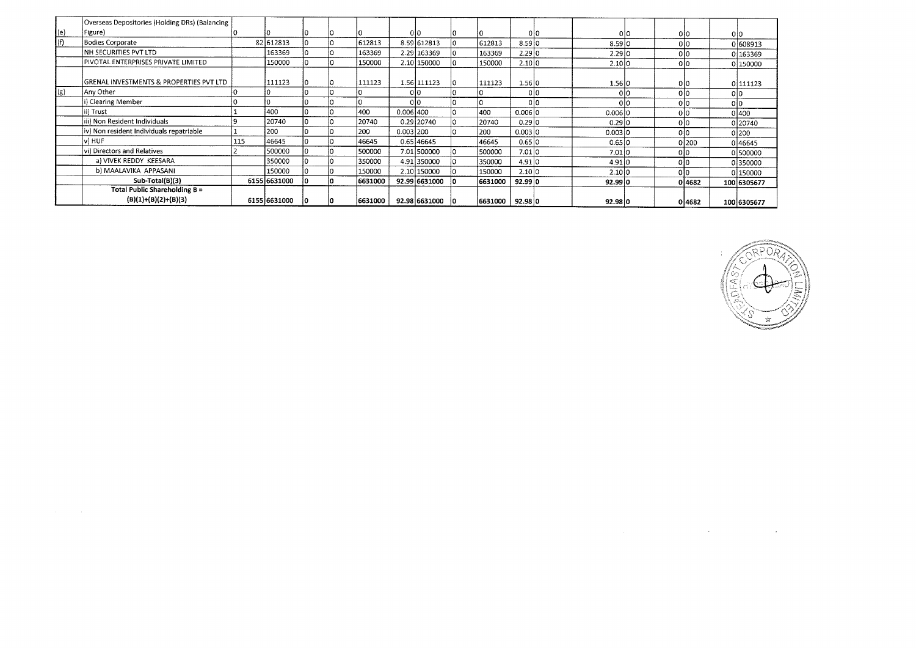|             | Overseas Depositories (Holding DRs) (Balancing          |     |              |     |    |         |               |    |         |         |     |         |     |     |        |     |             |
|-------------|---------------------------------------------------------|-----|--------------|-----|----|---------|---------------|----|---------|---------|-----|---------|-----|-----|--------|-----|-------------|
| $ e\rangle$ | Figure)                                                 |     |              |     |    |         | 010           |    |         |         | 010 |         | 010 |     | 010    | olo |             |
| (f)         | <b>Bodies Corporate</b>                                 |     | 82 612813    |     |    | 612813  | 8.59 612813   |    | 612813  | 8.59 0  |     | 8.59 0  |     |     | 010    |     | 0 608913    |
|             | NH SECURITIES PVT LTD                                   |     | 163369       | 10  | 10 | 163369  | 2.29 163369   |    | 163369  | 2.29 0  |     | 2.29 0  |     |     | 010    |     | 0 163369    |
|             | PIVOTAL ENTERPRISES PRIVATE LIMITED                     |     | 150000       |     | l٥ | 150000  | 2.10 150000   |    | 150000  | 2.10 0  |     | 2.10 0  |     |     |        |     | 0 150000    |
|             | GRENAL INVESTMENTS & PROPERTIES PVT LTD                 |     | 111123       |     | ١O | 111123  | 1.56 111123   |    | 111123  | 1.5610  |     | 1.56 0  |     |     | 010    |     | 0 111123    |
| (g)         | Any Other                                               |     |              |     |    |         | 010           |    |         |         | 010 |         | 010 | 0l0 |        | 010 |             |
|             | i) Clearing Member                                      |     |              |     |    |         | 010           |    |         |         | olo |         | 0l0 |     |        | olo |             |
|             | ii) Trust                                               |     | 400          | 10. |    | 400     | 0.006 400     |    | 400     | 0.00610 |     | 0.00610 |     | 0l0 |        |     | 0 400       |
|             | iii) Non Resident Individuals                           |     | 20740        | l0  |    | 20740   | 0.29 20740    |    | 20740   | 0.2910  |     | 0.29 0  |     |     | 010    |     | 0 20740     |
|             | iv) Non resident Individuals repatriable                |     | 200          |     |    | 200     | 0.003 200     |    | 200     | 0.003 0 |     | 0.003 0 |     |     |        |     | 0200        |
|             | v) HUF                                                  | 115 | 46645        |     |    | 46645   | 0.65 46645    |    | 46645   | 0.65 0  |     | 0.65 0  |     |     | 0 200  |     | 046645      |
|             | vi) Directors and Relatives                             |     | 500000       |     |    | 500000  | 7.01 500000   |    | 500000  | 7.01 0  |     | 7.01 0  |     |     |        |     | 0 500000    |
|             | a) VIVEK REDDY KEESARA                                  |     | 350000       |     |    | 350000  | 4.91 350000   |    | 350000  | 4.91 0  |     | 4.91 0  |     |     |        |     | 0350000     |
|             | b) MAALAVIKA APPASANI                                   |     | 150000       |     |    | 150000  | 2.10 150000   |    | 150000  | 2.10 0  |     | 2.1010  |     |     |        |     | 0 150000    |
|             | Sub-Total(B)(3)                                         |     | 6155 6631000 | n.  | 10 | 6631000 | 92.99 6631000 | 10 | 6631000 | 92.99 0 |     | 92.9910 |     |     | 0 4682 |     | 100 6305677 |
|             | Total Public Shareholding B =<br>$(B)(1)+(B)(2)+(B)(3)$ |     | 6155 6631000 | ۱O  |    | 6631000 | 92.98 6631000 | ាព | 6631000 | 92.98 0 |     | 92.98 0 |     |     | 0 4682 |     | 100 6305677 |



 $\mathcal{L}(\mathcal{L}(\mathcal{L}))$  is a subset of the set of the set of the set of the set of the set of the set of the set of the set of the set of the set of the set of the set of the set of the set of the set of the set of the set o